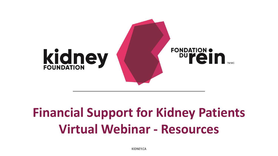

# **Financial Support for Kidney Patients Virtual Webinar - Resources**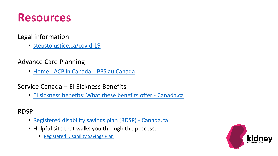

#### Legal information

- [stepstojustice.ca/covid-19](../stepstojustice.ca/covid-19)
- Advance Care Planning
	- Home [ACP in Canada | PPS au Canada](https://www.advancecareplanning.ca/)

Service Canada – EI Sickness Benefits

• [EI sickness benefits: What these benefits offer -](https://www.canada.ca/en/services/benefits/ei/ei-sickness.html) Canada.ca

RDSP

- [Registered disability savings plan \(RDSP\) -](https://www.canada.ca/en/revenue-agency/services/tax/individuals/topics/registered-disability-savings-plan-rdsp.html) Canada.ca
- Helpful site that walks you through the process:
	- [Registered Disability Savings Plan](https://www.rdsp.com/)

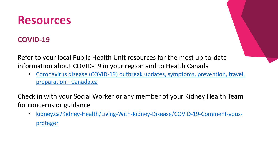### **COVID-19**

Refer to your local Public Health Unit resources for the most up-to-date information about COVID-19 in your region and to Health Canada

• [Coronavirus disease \(COVID-19\) outbreak updates, symptoms, prevention, travel,](https://www.canada.ca/en/public-health/services/diseases/coronavirus-disease-covid-19.html)  preparation - Canada.ca

Check in with your Social Worker or any member of your Kidney Health Team for concerns or guidance

• [kidney.ca/Kidney-Health/Living-With-Kidney-Disease/COVID-19-Comment-vous](https://kidney.ca/Kidney-Health/Living-With-Kidney-Disease/COVID-19-Comment-vous-proteger)proteger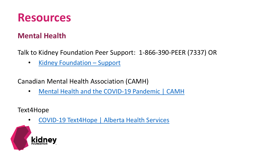

#### **Mental Health**

Talk to Kidney Foundation Peer Support: 1-866-390-PEER (7337) OR

• [Kidney Foundation](https://kidney.ca/Support/Peer-Support) – Support

Canadian Mental Health Association (CAMH)

• [Mental Health and the COVID-19 Pandemic | CAMH](http://www.camh.ca/en/health-info/mental-health-and-covid-19)

Text4Hope

• [COVID-19 Text4Hope | Alberta Health Services](https://www.albertahealthservices.ca/topics/Page17019.aspx)

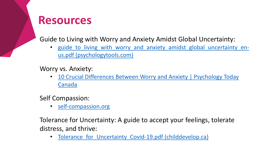Guide to Living with Worry and Anxiety Amidst Global Uncertainty:

• guide to living with worry and anxiety amidst global uncertainty enus.pdf (psychologytools.com)

Worry vs. Anxiety:

• 10 Crucial Differences Between Worry and Anxiety | Psychology Today Canada

Self Compassion:

• [self-compassion.org](../self-compassion.org)

Tolerance for Uncertainty: A guide to accept your feelings, tolerate distress, and thrive:

• Tolerance for Uncertainty Covid-19.pdf (childdevelop.ca)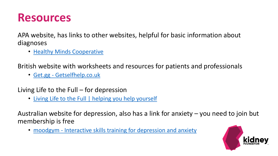APA website, has links to other websites, helpful for basic information about diagnoses

• [Healthy Minds Cooperative](https://www.healthyminds.ca/)

British website with worksheets and resources for patients and professionals

• Get.gg - [Getselfhelp.co.uk](http://www.getselfhelp.co.uk/)

Living Life to the Full – for depression

• [Living Life to the Full | helping you help yourself](https://llttf.com/)

Australian website for depression, also has a link for anxiety – you need to join but membership is free

• moodgym - [Interactive skills training for depression and anxiety](https://moodgym.com.au/)